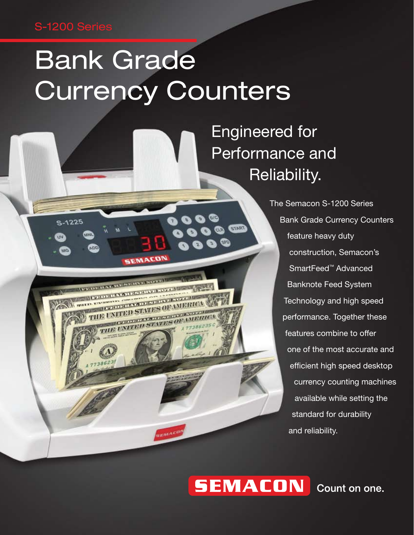### S-1200 Series

S-1225

# Bank Grade Currency Counters

SEMACON

**IFTER DESCRIPTION NEWSTERN PRODUCTS**  o G

**START** 



The Semacon S-1200 Series Bank Grade Currency Counters feature heavy duty construction, Semacon's SmartFeed™ Advanced Banknote Feed System Technology and high speed performance. Together these features combine to offer one of the most accurate and efficient high speed desktop currency counting machines available while setting the standard for durability and reliability.

## **SEMACON**

Count on one.